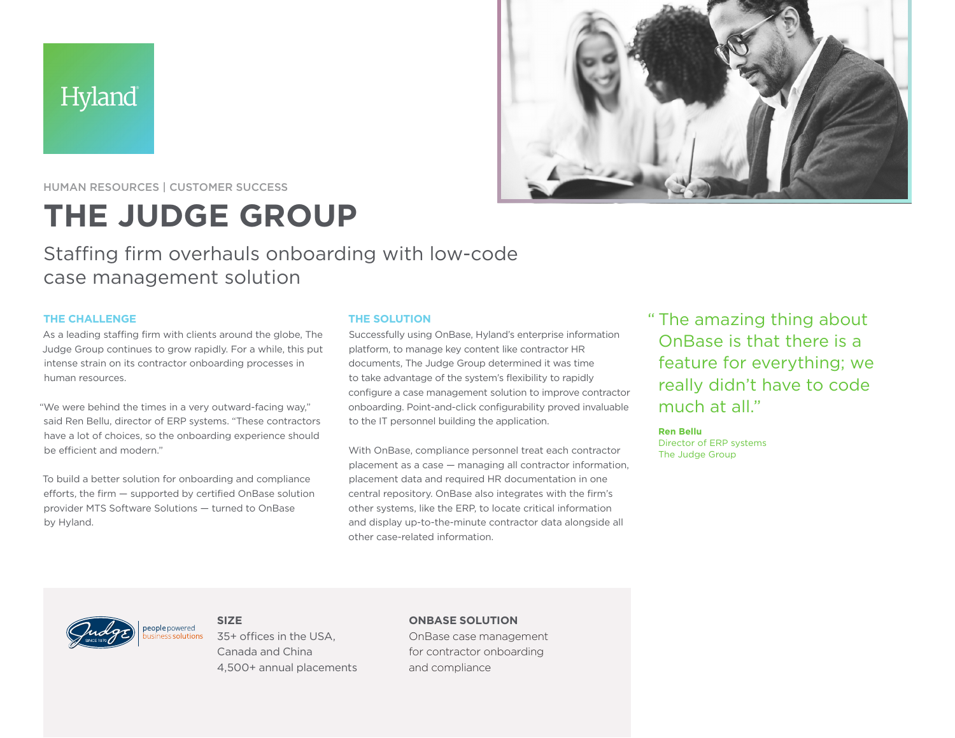



HUMAN RESOURCES | CUSTOMER SUCCESS

# **THE JUDGE GROUP**

# Staffing firm overhauls onboarding with low-code case management solution

## **THE CHALLENGE**

As a leading staffing firm with clients around the globe, The Judge Group continues to grow rapidly. For a while, this put intense strain on its contractor onboarding processes in human resources.

"We were behind the times in a very outward-facing way," said Ren Bellu, director of ERP systems. "These contractors have a lot of choices, so the onboarding experience should be efficient and modern."

To build a better solution for onboarding and compliance efforts, the firm — supported by certified OnBase solution provider MTS Software Solutions — turned to OnBase by Hyland.

#### **THE SOLUTION**

Successfully using OnBase, Hyland's enterprise information platform, to manage key content like contractor HR documents, The Judge Group determined it was time to take advantage of the system's flexibility to rapidly configure a case management solution to improve contractor onboarding. Point-and-click configurability proved invaluable to the IT personnel building the application.

With OnBase, compliance personnel treat each contractor placement as a case — managing all contractor information, placement data and required HR documentation in one central repository. OnBase also integrates with the firm's other systems, like the ERP, to locate critical information and display up-to-the-minute contractor data alongside all other case-related information.

" The amazing thing about OnBase is that there is a feature for everything; we really didn't have to code much at all."

**Ren Bellu** Director of ERP systems The Judge Group



## **SIZE**

35+ offices in the USA, Canada and China 4,500+ annual placements

#### **ONBASE SOLUTION**

OnBase case management for contractor onboarding and compliance